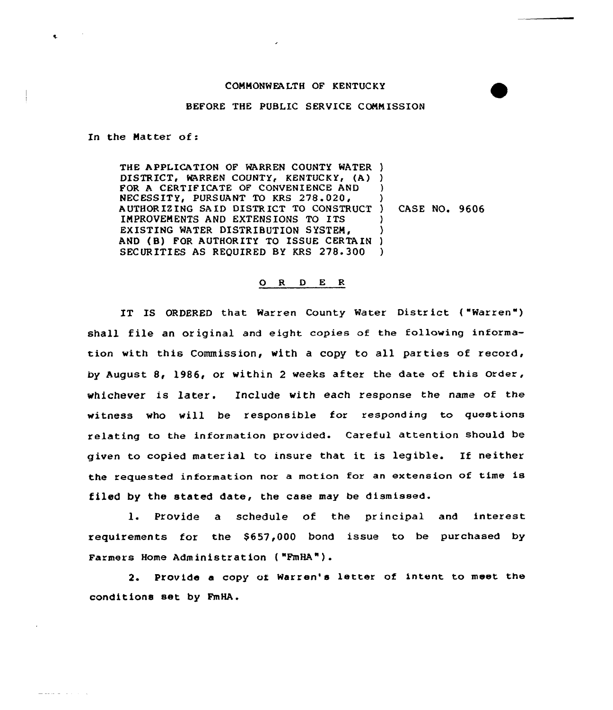## CONHONWEALTH OF KENTUCKY

## BEFORE THE PUBLIC SERVICE CONN ISSION

In the Matter of:

 $\bullet$ 

 $\frac{1}{2} \left( \frac{1}{2} \left( \frac{1}{2} \left( \frac{1}{2} \left( \frac{1}{2} \left( \frac{1}{2} \left( \frac{1}{2} \left( \frac{1}{2} \left( \frac{1}{2} \right) \right) - \frac{1}{2} \left( \frac{1}{2} \left( \frac{1}{2} \left( \frac{1}{2} \right) \right) \right) \right) \right) \right) \right) - \frac{1}{2} \left( \frac{1}{2} \left( \frac{1}{2} \left( \frac{1}{2} \left( \frac{1}{2} \left( \frac{1}{2} \left( \frac{1}{2}$ 

THE APPLICATION OF WARREN COUNTY WATER ) DISTRICT, WARREN COUNTY, KENTUCKY, (A) ) FOR A CERTIF ICATE OF CONVENIENCE AND NECESSITY, PURSUANT TO KRS 278.020, AUTHORIZING SAID DISTRICT TO CONSTRUCT ) CASE NO. 9606 INPROVEH ENTS AND EXTENSIONS TO ITS EXISTING WATER DISTRIBUTION SYSTEM, EXISTING WATER DISTRIBUTION SYSTEM,<br>AND (B) FOR AUTHORITY TO ISSUE CERTAIN) SECURITIES AS REQUIRED BY KRS 278.300 ) ) ) ) )

## ORDER

IT IS ORDERED that Warren County Water District ("Warren") shall file an original and eight copies of the following information with this Commission, with a copy to all parties of record, by August 8, 1986, or within <sup>2</sup> weeks after the date of this order, whichever is later. Include with each response the name of the witness who will be responsible for responding to questions relating to the information provided. Careful attention should be given to copied material to insure that it is legible. If neither the requested information nor <sup>a</sup> motion for an extension of time is filed by the stated date, the case may be dismissed.

1. Provide a schedule of the principal and interest requirements for the \$657,000 bond issue to be purchased by Farmers Home Administration ( "FmHA").

2. Provide <sup>a</sup> copy of Warren's letter of intent to meet the conditions set by FmHA.